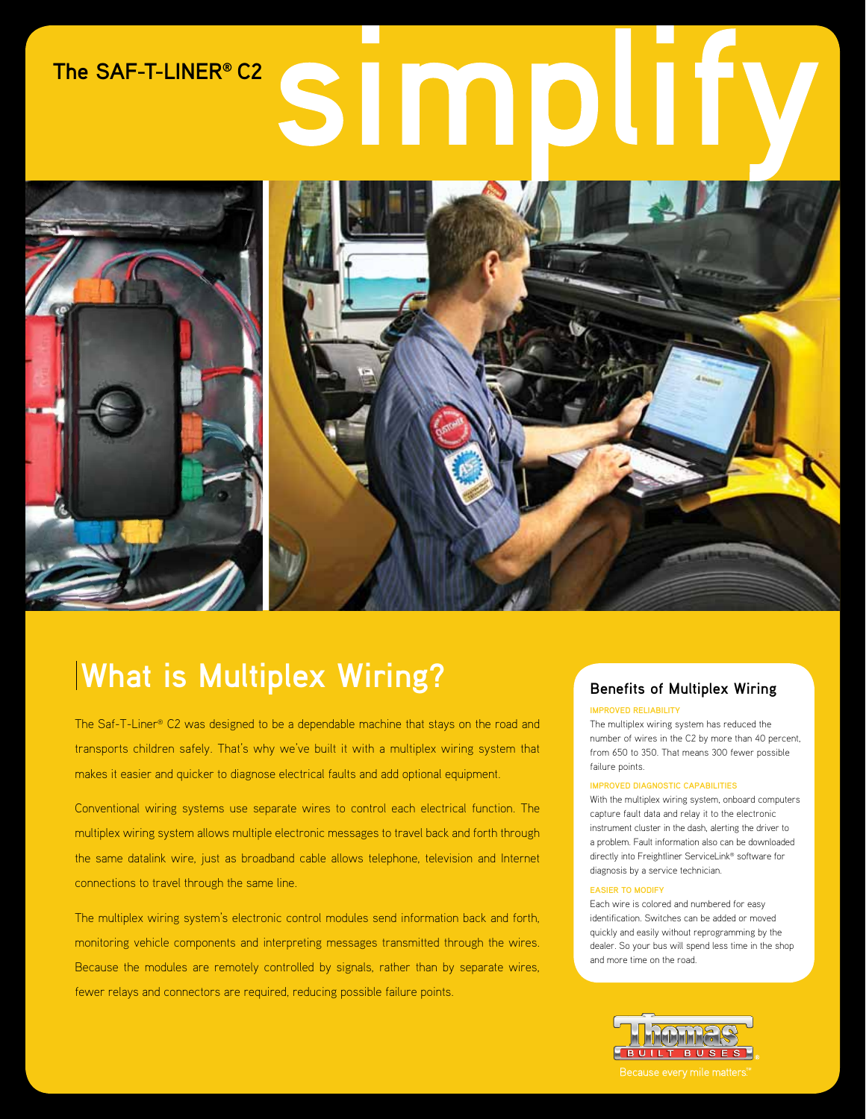# SIMD **The SAF-T-LINER® C2**



# **What is Multiplex Wiring?** Benefits of Multiplex Wiring

The Saf-T-Liner® C2 was designed to be a dependable machine that stays on the road and transports children safely. That's why we've built it with a multiplex wiring system that makes it easier and quicker to diagnose electrical faults and add optional equipment.

Conventional wiring systems use separate wires to control each electrical function. The multiplex wiring system allows multiple electronic messages to travel back and forth through the same datalink wire, just as broadband cable allows telephone, television and Internet connections to travel through the same line.

The multiplex wiring system's electronic control modules send information back and forth, monitoring vehicle components and interpreting messages transmitted through the wires. Because the modules are remotely controlled by signals, rather than by separate wires, fewer relays and connectors are required, reducing possible failure points.

#### **Improved Reliability**

The multiplex wiring system has reduced the number of wires in the C2 by more than 40 percent, from 650 to 350. That means 300 fewer possible failure points.

#### **Improved Diagnostic Capabilities**

With the multiplex wiring system, onboard computers capture fault data and relay it to the electronic instrument cluster in the dash, alerting the driver to a problem. Fault information also can be downloaded directly into Freightliner ServiceLink® software for diagnosis by a service technician.

#### **Easier to Modify**

Each wire is colored and numbered for easy identification. Switches can be added or moved quickly and easily without reprogramming by the dealer. So your bus will spend less time in the shop and more time on the road.